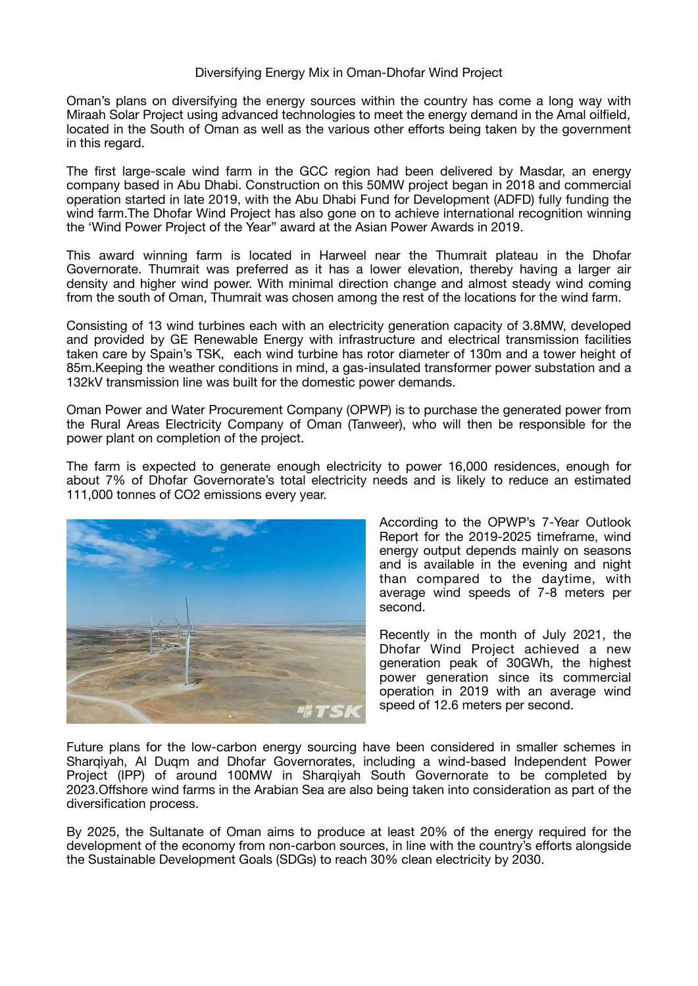## Diversifying Energy Mix in Oman-Dhofar Wind Project

Oman's plans on diversifying the energy sources within the country has come a long way with Miraah Solar Project using advanced technologies to meet the energy demand in the Amal oilfield, located in the South of Oman as well as the various other efforts being taken by the government in this regard.

The first large-scale wind farm in the GCC region had been delivered by Masdar, an energy company based in Abu Dhabi. Construction on this 50MW project began in 2018 and commercial operation started in late 2019, with the Abu Dhabi Fund for Development (ADFD) fully funding the wind farm.The Dhofar Wind Project has also gone on to achieve international recognition winning the 'Wind Power Project of the Year" award at the Asian Power Awards in 2019.

This award winning farm is located in Harweel near the Thumrait plateau in the Dhofar Governorate. Thumrait was preferred as it has a lower elevation, thereby having a larger air density and higher wind power. With minimal direction change and almost steady wind coming from the south of Oman, Thumrait was chosen among the rest of the locations for the wind farm.

Consisting of 13 wind turbines each with an electricity generation capacity of 3.8MW, developed and provided by GE Renewable Energy with infrastructure and electrical transmission facilities taken care by Spain's TSK, each wind turbine has rotor diameter of 130m and a tower height of 85m.Keeping the weather conditions in mind, a gas-insulated transformer power substation and a 132kV transmission line was built for the domestic power demands.

Oman Power and Water Procurement Company (OPWP) is to purchase the generated power from the Rural Areas Electricity Company of Oman (Tanweer), who will then be responsible for the power plant on completion of the project.

The farm is expected to generate enough electricity to power 16,000 residences, enough for about 7% of Dhofar Governorate's total electricity needs and is likely to reduce an estimated 111,000 tonnes of CO2 emissions every year.



According to the OPWP's 7-Year Outlook Report for the 2019-2025 timeframe, wind energy output depends mainly on seasons and is available in the evening and night than compared to the daytime, with average wind speeds of 7-8 meters per second.

Recently in the month of July 2021, the Dhofar Wind Project achieved a new generation peak of 30GWh, the highest power generation since its commercial operation in 2019 with an average wind speed of 12.6 meters per second.

Future plans for the low-carbon energy sourcing have been considered in smaller schemes in Sharqiyah, Al Duqm and Dhofar Governorates, including a wind-based Independent Power Project (IPP) of around 100MW in Shargivah South Governorate to be completed by 2023.Offshore wind farms in the Arabian Sea are also being taken into consideration as part of the diversification process.

By 2025, the Sultanate of Oman aims to produce at least 20% of the energy required for the development of the economy from non-carbon sources, in line with the country's efforts alongside the Sustainable Development Goals (SDGs) to reach 30% clean electricity by 2030.